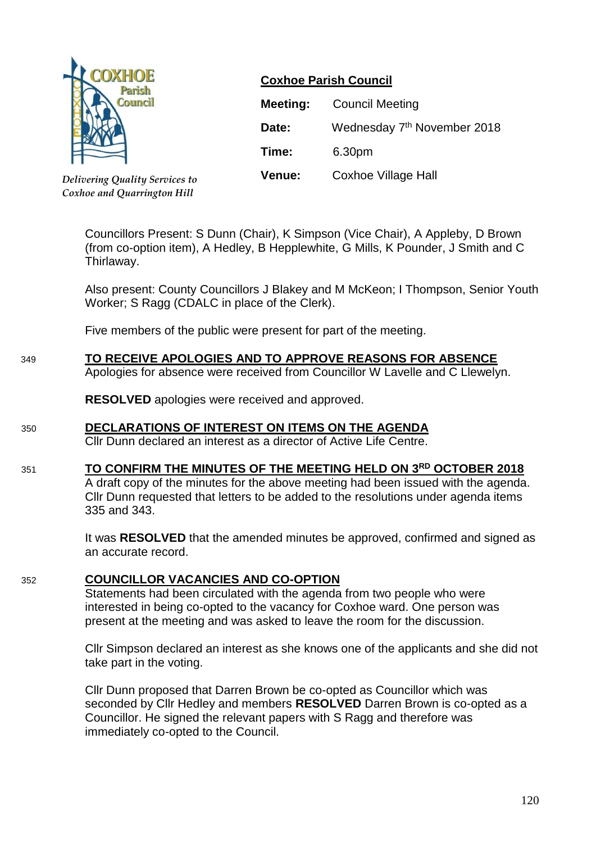

*Delivering Quality Services to Coxhoe and Quarrington Hill*

# **Coxhoe Parish Council**

| <b>Meeting:</b> | <b>Council Meeting</b>                  |
|-----------------|-----------------------------------------|
| Date:           | Wednesday 7 <sup>th</sup> November 2018 |
| Time:           | 6.30pm                                  |
| <b>Venue:</b>   | <b>Coxhoe Village Hall</b>              |

Councillors Present: S Dunn (Chair), K Simpson (Vice Chair), A Appleby, D Brown (from co-option item), A Hedley, B Hepplewhite, G Mills, K Pounder, J Smith and C Thirlaway.

Also present: County Councillors J Blakey and M McKeon; I Thompson, Senior Youth Worker; S Ragg (CDALC in place of the Clerk).

Five members of the public were present for part of the meeting.

# 349 **TO RECEIVE APOLOGIES AND TO APPROVE REASONS FOR ABSENCE**

Apologies for absence were received from Councillor W Lavelle and C Llewelyn.

**RESOLVED** apologies were received and approved.

## 350 **DECLARATIONS OF INTEREST ON ITEMS ON THE AGENDA**

Cllr Dunn declared an interest as a director of Active Life Centre.

# 351 **TO CONFIRM THE MINUTES OF THE MEETING HELD ON 3 RD OCTOBER 2018**

A draft copy of the minutes for the above meeting had been issued with the agenda. Cllr Dunn requested that letters to be added to the resolutions under agenda items 335 and 343.

It was **RESOLVED** that the amended minutes be approved, confirmed and signed as an accurate record.

## 352 **COUNCILLOR VACANCIES AND CO-OPTION**

Statements had been circulated with the agenda from two people who were interested in being co-opted to the vacancy for Coxhoe ward. One person was present at the meeting and was asked to leave the room for the discussion.

Cllr Simpson declared an interest as she knows one of the applicants and she did not take part in the voting.

Cllr Dunn proposed that Darren Brown be co-opted as Councillor which was seconded by Cllr Hedley and members **RESOLVED** Darren Brown is co-opted as a Councillor. He signed the relevant papers with S Ragg and therefore was immediately co-opted to the Council.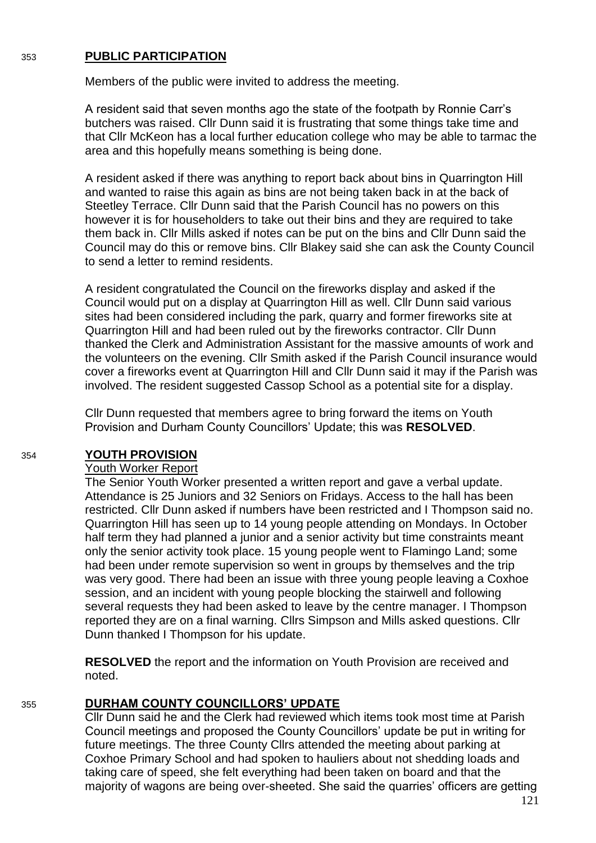#### 353 **PUBLIC PARTICIPATION**

Members of the public were invited to address the meeting.

A resident said that seven months ago the state of the footpath by Ronnie Carr's butchers was raised. Cllr Dunn said it is frustrating that some things take time and that Cllr McKeon has a local further education college who may be able to tarmac the area and this hopefully means something is being done.

A resident asked if there was anything to report back about bins in Quarrington Hill and wanted to raise this again as bins are not being taken back in at the back of Steetley Terrace. Cllr Dunn said that the Parish Council has no powers on this however it is for householders to take out their bins and they are required to take them back in. Cllr Mills asked if notes can be put on the bins and Cllr Dunn said the Council may do this or remove bins. Cllr Blakey said she can ask the County Council to send a letter to remind residents.

A resident congratulated the Council on the fireworks display and asked if the Council would put on a display at Quarrington Hill as well. Cllr Dunn said various sites had been considered including the park, quarry and former fireworks site at Quarrington Hill and had been ruled out by the fireworks contractor. Cllr Dunn thanked the Clerk and Administration Assistant for the massive amounts of work and the volunteers on the evening. Cllr Smith asked if the Parish Council insurance would cover a fireworks event at Quarrington Hill and Cllr Dunn said it may if the Parish was involved. The resident suggested Cassop School as a potential site for a display.

Cllr Dunn requested that members agree to bring forward the items on Youth Provision and Durham County Councillors' Update; this was **RESOLVED**.

#### 354 **YOUTH PROVISION**

#### Youth Worker Report

The Senior Youth Worker presented a written report and gave a verbal update. Attendance is 25 Juniors and 32 Seniors on Fridays. Access to the hall has been restricted. Cllr Dunn asked if numbers have been restricted and I Thompson said no. Quarrington Hill has seen up to 14 young people attending on Mondays. In October half term they had planned a junior and a senior activity but time constraints meant only the senior activity took place. 15 young people went to Flamingo Land; some had been under remote supervision so went in groups by themselves and the trip was very good. There had been an issue with three young people leaving a Coxhoe session, and an incident with young people blocking the stairwell and following several requests they had been asked to leave by the centre manager. I Thompson reported they are on a final warning. Cllrs Simpson and Mills asked questions. Cllr Dunn thanked I Thompson for his update.

**RESOLVED** the report and the information on Youth Provision are received and noted.

#### 355 **DURHAM COUNTY COUNCILLORS' UPDATE**

Cllr Dunn said he and the Clerk had reviewed which items took most time at Parish Council meetings and proposed the County Councillors' update be put in writing for future meetings. The three County Cllrs attended the meeting about parking at Coxhoe Primary School and had spoken to hauliers about not shedding loads and taking care of speed, she felt everything had been taken on board and that the majority of wagons are being over-sheeted. She said the quarries' officers are getting

121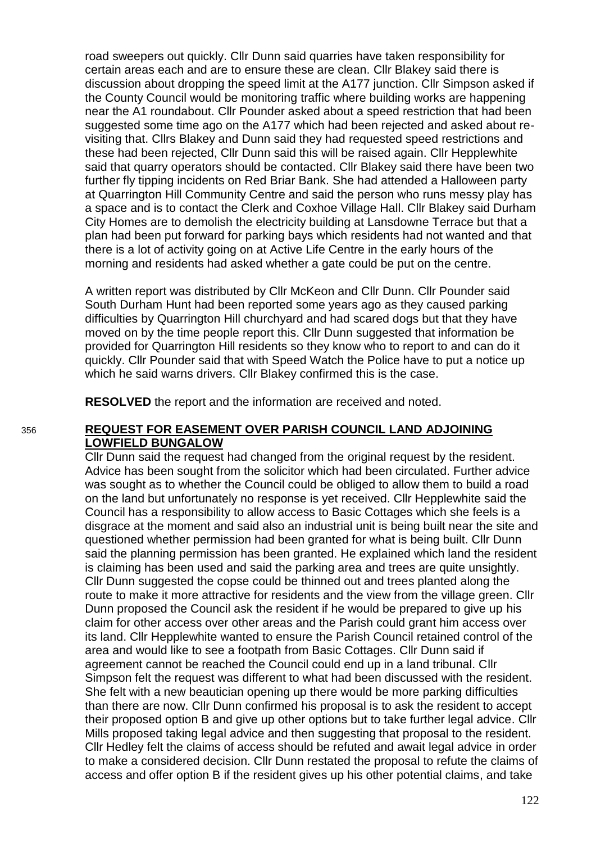road sweepers out quickly. Cllr Dunn said quarries have taken responsibility for certain areas each and are to ensure these are clean. Cllr Blakey said there is discussion about dropping the speed limit at the A177 junction. Cllr Simpson asked if the County Council would be monitoring traffic where building works are happening near the A1 roundabout. Cllr Pounder asked about a speed restriction that had been suggested some time ago on the A177 which had been rejected and asked about revisiting that. Cllrs Blakey and Dunn said they had requested speed restrictions and these had been rejected, Cllr Dunn said this will be raised again. Cllr Hepplewhite said that quarry operators should be contacted. Cllr Blakey said there have been two further fly tipping incidents on Red Briar Bank. She had attended a Halloween party at Quarrington Hill Community Centre and said the person who runs messy play has a space and is to contact the Clerk and Coxhoe Village Hall. Cllr Blakey said Durham City Homes are to demolish the electricity building at Lansdowne Terrace but that a plan had been put forward for parking bays which residents had not wanted and that there is a lot of activity going on at Active Life Centre in the early hours of the morning and residents had asked whether a gate could be put on the centre.

A written report was distributed by Cllr McKeon and Cllr Dunn. Cllr Pounder said South Durham Hunt had been reported some years ago as they caused parking difficulties by Quarrington Hill churchyard and had scared dogs but that they have moved on by the time people report this. Cllr Dunn suggested that information be provided for Quarrington Hill residents so they know who to report to and can do it quickly. Cllr Pounder said that with Speed Watch the Police have to put a notice up which he said warns drivers. Cllr Blakey confirmed this is the case.

**RESOLVED** the report and the information are received and noted.

#### 356 **REQUEST FOR EASEMENT OVER PARISH COUNCIL LAND ADJOINING LOWFIELD BUNGALOW**

Cllr Dunn said the request had changed from the original request by the resident. Advice has been sought from the solicitor which had been circulated. Further advice was sought as to whether the Council could be obliged to allow them to build a road on the land but unfortunately no response is yet received. Cllr Hepplewhite said the Council has a responsibility to allow access to Basic Cottages which she feels is a disgrace at the moment and said also an industrial unit is being built near the site and questioned whether permission had been granted for what is being built. Cllr Dunn said the planning permission has been granted. He explained which land the resident is claiming has been used and said the parking area and trees are quite unsightly. Cllr Dunn suggested the copse could be thinned out and trees planted along the route to make it more attractive for residents and the view from the village green. Cllr Dunn proposed the Council ask the resident if he would be prepared to give up his claim for other access over other areas and the Parish could grant him access over its land. Cllr Hepplewhite wanted to ensure the Parish Council retained control of the area and would like to see a footpath from Basic Cottages. Cllr Dunn said if agreement cannot be reached the Council could end up in a land tribunal. Cllr Simpson felt the request was different to what had been discussed with the resident. She felt with a new beautician opening up there would be more parking difficulties than there are now. Cllr Dunn confirmed his proposal is to ask the resident to accept their proposed option B and give up other options but to take further legal advice. Cllr Mills proposed taking legal advice and then suggesting that proposal to the resident. Cllr Hedley felt the claims of access should be refuted and await legal advice in order to make a considered decision. Cllr Dunn restated the proposal to refute the claims of access and offer option B if the resident gives up his other potential claims, and take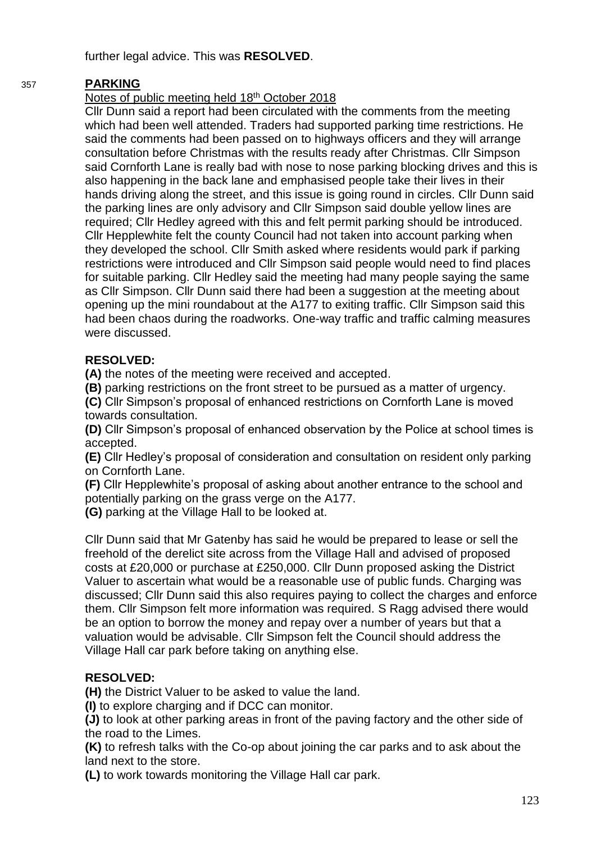further legal advice. This was **RESOLVED**.

# 357 **PARKING**

# Notes of public meeting held 18th October 2018

Cllr Dunn said a report had been circulated with the comments from the meeting which had been well attended. Traders had supported parking time restrictions. He said the comments had been passed on to highways officers and they will arrange consultation before Christmas with the results ready after Christmas. Cllr Simpson said Cornforth Lane is really bad with nose to nose parking blocking drives and this is also happening in the back lane and emphasised people take their lives in their hands driving along the street, and this issue is going round in circles. Cllr Dunn said the parking lines are only advisory and Cllr Simpson said double yellow lines are required; Cllr Hedley agreed with this and felt permit parking should be introduced. Cllr Hepplewhite felt the county Council had not taken into account parking when they developed the school. Cllr Smith asked where residents would park if parking restrictions were introduced and Cllr Simpson said people would need to find places for suitable parking. Cllr Hedley said the meeting had many people saying the same as Cllr Simpson. Cllr Dunn said there had been a suggestion at the meeting about opening up the mini roundabout at the A177 to exiting traffic. Cllr Simpson said this had been chaos during the roadworks. One-way traffic and traffic calming measures were discussed.

# **RESOLVED:**

**(A)** the notes of the meeting were received and accepted.

**(B)** parking restrictions on the front street to be pursued as a matter of urgency.

**(C)** Cllr Simpson's proposal of enhanced restrictions on Cornforth Lane is moved towards consultation.

**(D)** Cllr Simpson's proposal of enhanced observation by the Police at school times is accepted.

**(E)** Cllr Hedley's proposal of consideration and consultation on resident only parking on Cornforth Lane.

**(F)** Cllr Hepplewhite's proposal of asking about another entrance to the school and potentially parking on the grass verge on the A177.

**(G)** parking at the Village Hall to be looked at.

Cllr Dunn said that Mr Gatenby has said he would be prepared to lease or sell the freehold of the derelict site across from the Village Hall and advised of proposed costs at £20,000 or purchase at £250,000. Cllr Dunn proposed asking the District Valuer to ascertain what would be a reasonable use of public funds. Charging was discussed; Cllr Dunn said this also requires paying to collect the charges and enforce them. Cllr Simpson felt more information was required. S Ragg advised there would be an option to borrow the money and repay over a number of years but that a valuation would be advisable. Cllr Simpson felt the Council should address the Village Hall car park before taking on anything else.

# **RESOLVED:**

**(H)** the District Valuer to be asked to value the land.

**(I)** to explore charging and if DCC can monitor.

**(J)** to look at other parking areas in front of the paving factory and the other side of the road to the Limes.

**(K)** to refresh talks with the Co-op about joining the car parks and to ask about the land next to the store.

**(L)** to work towards monitoring the Village Hall car park.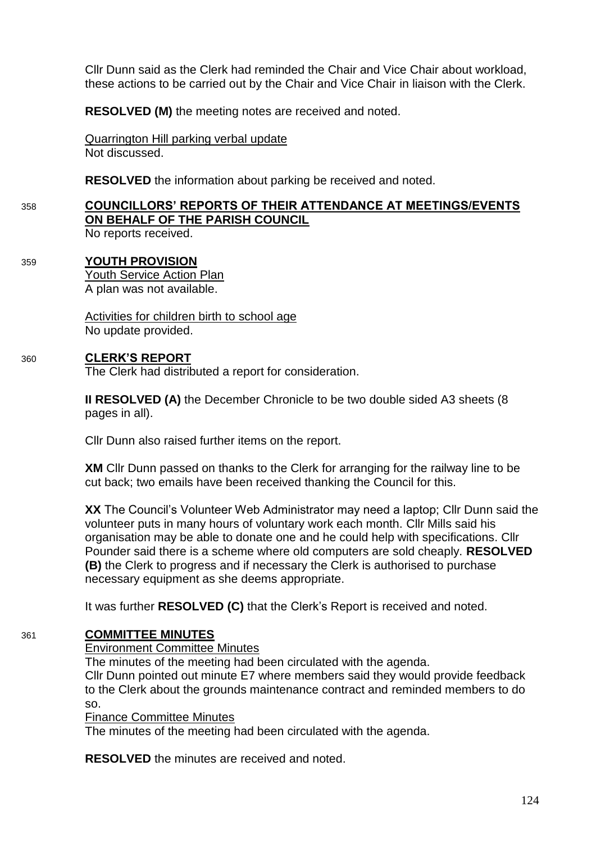Cllr Dunn said as the Clerk had reminded the Chair and Vice Chair about workload, these actions to be carried out by the Chair and Vice Chair in liaison with the Clerk.

**RESOLVED (M)** the meeting notes are received and noted.

Quarrington Hill parking verbal update Not discussed.

**RESOLVED** the information about parking be received and noted.

# 358 **COUNCILLORS' REPORTS OF THEIR ATTENDANCE AT MEETINGS/EVENTS ON BEHALF OF THE PARISH COUNCIL**

No reports received.

# 359 **YOUTH PROVISION**

Youth Service Action Plan A plan was not available.

Activities for children birth to school age No update provided.

## 360 **CLERK'S REPORT**

The Clerk had distributed a report for consideration.

**II RESOLVED (A)** the December Chronicle to be two double sided A3 sheets (8 pages in all).

Cllr Dunn also raised further items on the report.

**XM** Cllr Dunn passed on thanks to the Clerk for arranging for the railway line to be cut back; two emails have been received thanking the Council for this.

**XX** The Council's Volunteer Web Administrator may need a laptop; Cllr Dunn said the volunteer puts in many hours of voluntary work each month. Cllr Mills said his organisation may be able to donate one and he could help with specifications. Cllr Pounder said there is a scheme where old computers are sold cheaply. **RESOLVED (B)** the Clerk to progress and if necessary the Clerk is authorised to purchase necessary equipment as she deems appropriate.

It was further **RESOLVED (C)** that the Clerk's Report is received and noted.

# 361 **COMMITTEE MINUTES**

## Environment Committee Minutes

The minutes of the meeting had been circulated with the agenda.

Cllr Dunn pointed out minute E7 where members said they would provide feedback to the Clerk about the grounds maintenance contract and reminded members to do so.

Finance Committee Minutes

The minutes of the meeting had been circulated with the agenda.

**RESOLVED** the minutes are received and noted.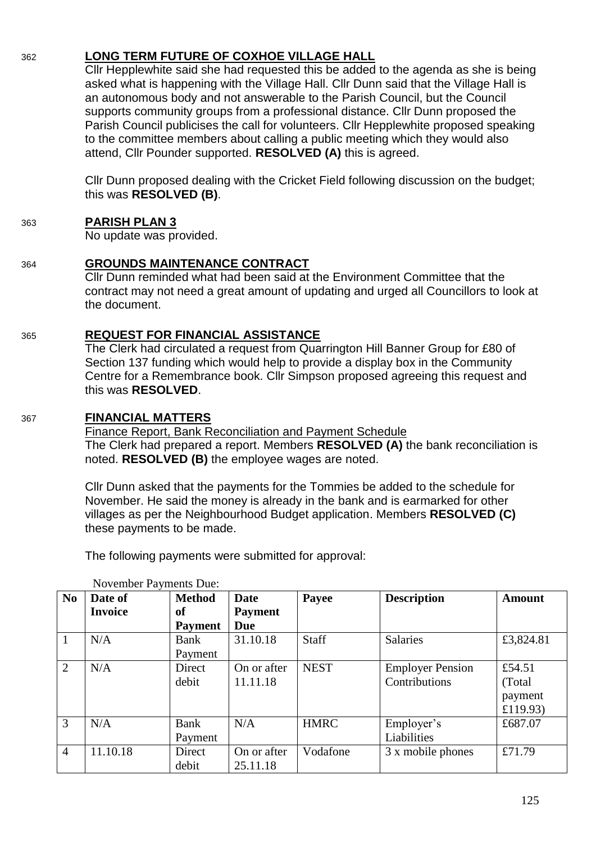# 362 **LONG TERM FUTURE OF COXHOE VILLAGE HALL**

Cllr Hepplewhite said she had requested this be added to the agenda as she is being asked what is happening with the Village Hall. Cllr Dunn said that the Village Hall is an autonomous body and not answerable to the Parish Council, but the Council supports community groups from a professional distance. Cllr Dunn proposed the Parish Council publicises the call for volunteers. Cllr Hepplewhite proposed speaking to the committee members about calling a public meeting which they would also attend, Cllr Pounder supported. **RESOLVED (A)** this is agreed.

Cllr Dunn proposed dealing with the Cricket Field following discussion on the budget; this was **RESOLVED (B)**.

# 363 **PARISH PLAN 3**

No update was provided.

364 **GROUNDS MAINTENANCE CONTRACT**

Cllr Dunn reminded what had been said at the Environment Committee that the contract may not need a great amount of updating and urged all Councillors to look at the document.

## 365 **REQUEST FOR FINANCIAL ASSISTANCE**

The Clerk had circulated a request from Quarrington Hill Banner Group for £80 of Section 137 funding which would help to provide a display box in the Community Centre for a Remembrance book. Cllr Simpson proposed agreeing this request and this was **RESOLVED**.

## 367 **FINANCIAL MATTERS**

Finance Report, Bank Reconciliation and Payment Schedule The Clerk had prepared a report. Members **RESOLVED (A)** the bank reconciliation is noted. **RESOLVED (B)** the employee wages are noted.

Cllr Dunn asked that the payments for the Tommies be added to the schedule for November. He said the money is already in the bank and is earmarked for other villages as per the Neighbourhood Budget application. Members **RESOLVED (C)** these payments to be made.

The following payments were submitted for approval:

| N <sub>0</sub> | Date of        | <b>Method</b>  | <b>Date</b>    | Payee        | <b>Description</b>      | <b>Amount</b> |
|----------------|----------------|----------------|----------------|--------------|-------------------------|---------------|
|                | <b>Invoice</b> | of             | <b>Payment</b> |              |                         |               |
|                |                | <b>Payment</b> | Due            |              |                         |               |
| 1              | N/A            | Bank           | 31.10.18       | <b>Staff</b> | Salaries                | £3,824.81     |
|                |                | Payment        |                |              |                         |               |
| 2              | N/A            | Direct         | On or after    | <b>NEST</b>  | <b>Employer Pension</b> | £54.51        |
|                |                | debit          | 11.11.18       |              | Contributions           | (Total)       |
|                |                |                |                |              |                         | payment       |
|                |                |                |                |              |                         | £119.93)      |
| 3              | N/A            | Bank           | N/A            | <b>HMRC</b>  | Employer's              | £687.07       |
|                |                | Payment        |                |              | Liabilities             |               |
| $\overline{4}$ | 11.10.18       | Direct         | On or after    | Vodafone     | 3 x mobile phones       | £71.79        |
|                |                | debit          | 25.11.18       |              |                         |               |

November Payments Due: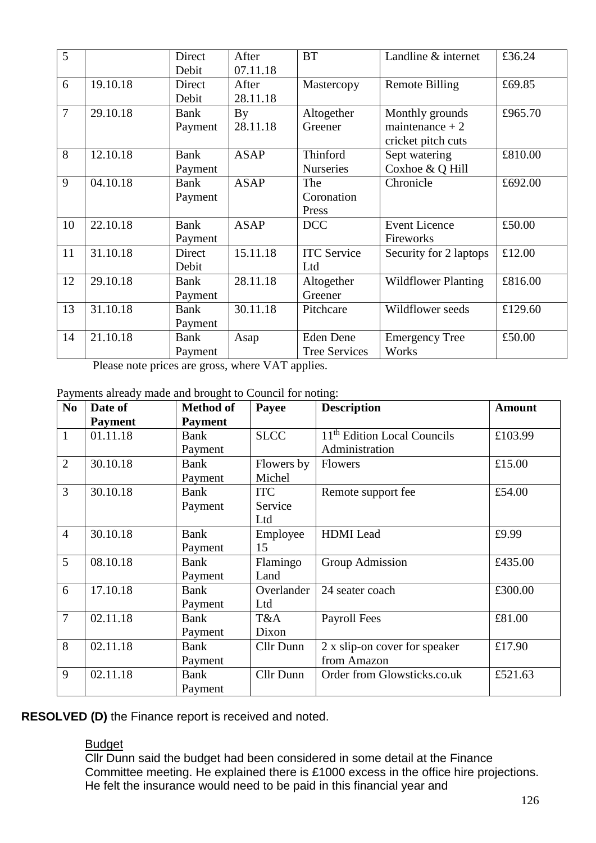| 5              |          | Direct<br>Debit        | After<br>07.11.18 | <b>BT</b>                                | Landline & internet                                       | £36.24  |
|----------------|----------|------------------------|-------------------|------------------------------------------|-----------------------------------------------------------|---------|
| 6              | 19.10.18 | Direct<br>Debit        | After<br>28.11.18 | Mastercopy                               | <b>Remote Billing</b>                                     | £69.85  |
| $\overline{7}$ | 29.10.18 | <b>Bank</b><br>Payment | By<br>28.11.18    | Altogether<br>Greener                    | Monthly grounds<br>maintenance $+2$<br>cricket pitch cuts | £965.70 |
| 8              | 12.10.18 | <b>Bank</b><br>Payment | <b>ASAP</b>       | Thinford<br><b>Nurseries</b>             | Sept watering<br>Coxhoe & Q Hill                          | £810.00 |
| 9              | 04.10.18 | <b>Bank</b><br>Payment | <b>ASAP</b>       | The<br>Coronation<br>Press               | Chronicle                                                 | £692.00 |
| 10             | 22.10.18 | Bank<br>Payment        | <b>ASAP</b>       | <b>DCC</b>                               | <b>Event Licence</b><br>Fireworks                         | £50.00  |
| 11             | 31.10.18 | Direct<br>Debit        | 15.11.18          | <b>ITC</b> Service<br>Ltd                | Security for 2 laptops                                    | £12.00  |
| 12             | 29.10.18 | <b>Bank</b><br>Payment | 28.11.18          | Altogether<br>Greener                    | <b>Wildflower Planting</b>                                | £816.00 |
| 13             | 31.10.18 | <b>Bank</b><br>Payment | 30.11.18          | Pitchcare                                | Wildflower seeds                                          | £129.60 |
| 14             | 21.10.18 | Bank<br>Payment        | Asap              | <b>Eden Dene</b><br><b>Tree Services</b> | <b>Emergency Tree</b><br>Works                            | £50.00  |

Please note prices are gross, where VAT applies.

Payments already made and brought to Council for noting:

| N <sub>o</sub> | Date of        | <b>Method of</b> | Payee       | <b>Description</b>                      | <b>Amount</b> |
|----------------|----------------|------------------|-------------|-----------------------------------------|---------------|
|                | <b>Payment</b> | <b>Payment</b>   |             |                                         |               |
| $\mathbf{1}$   | 01.11.18       | <b>Bank</b>      | <b>SLCC</b> | 11 <sup>th</sup> Edition Local Councils | £103.99       |
|                |                | Payment          |             | Administration                          |               |
| $\overline{2}$ | 30.10.18       | <b>Bank</b>      | Flowers by  | Flowers                                 | £15.00        |
|                |                | Payment          | Michel      |                                         |               |
| 3              | 30.10.18       | Bank             | <b>ITC</b>  | Remote support fee                      | £54.00        |
|                |                | Payment          | Service     |                                         |               |
|                |                |                  | Ltd         |                                         |               |
| $\overline{4}$ | 30.10.18       | <b>Bank</b>      | Employee    | <b>HDMI</b> Lead                        | £9.99         |
|                |                | Payment          | 15          |                                         |               |
| 5              | 08.10.18       | <b>Bank</b>      | Flamingo    | Group Admission                         | £435.00       |
|                |                | Payment          | Land        |                                         |               |
| 6              | 17.10.18       | <b>Bank</b>      | Overlander  | 24 seater coach                         | £300.00       |
|                |                | Payment          | Ltd         |                                         |               |
| $\overline{7}$ | 02.11.18       | <b>Bank</b>      | T&A         | Payroll Fees                            | £81.00        |
|                |                | Payment          | Dixon       |                                         |               |
| 8              | 02.11.18       | <b>Bank</b>      | Cllr Dunn   | 2 x slip-on cover for speaker           | £17.90        |
|                |                | Payment          |             | from Amazon                             |               |
| 9              | 02.11.18       | <b>Bank</b>      | Cllr Dunn   | Order from Glowsticks.co.uk             | £521.63       |
|                |                | Payment          |             |                                         |               |

**RESOLVED (D)** the Finance report is received and noted.

# Budget

Cllr Dunn said the budget had been considered in some detail at the Finance Committee meeting. He explained there is £1000 excess in the office hire projections. He felt the insurance would need to be paid in this financial year and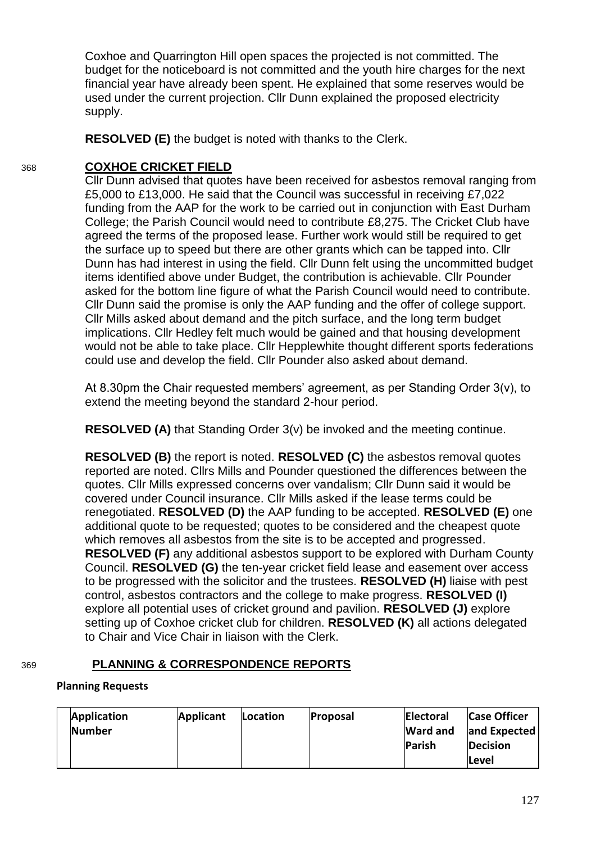Coxhoe and Quarrington Hill open spaces the projected is not committed. The budget for the noticeboard is not committed and the youth hire charges for the next financial year have already been spent. He explained that some reserves would be used under the current projection. Cllr Dunn explained the proposed electricity supply.

**RESOLVED (E)** the budget is noted with thanks to the Clerk.

# 368 **COXHOE CRICKET FIELD**

Cllr Dunn advised that quotes have been received for asbestos removal ranging from £5,000 to £13,000. He said that the Council was successful in receiving £7,022 funding from the AAP for the work to be carried out in conjunction with East Durham College; the Parish Council would need to contribute £8,275. The Cricket Club have agreed the terms of the proposed lease. Further work would still be required to get the surface up to speed but there are other grants which can be tapped into. Cllr Dunn has had interest in using the field. Cllr Dunn felt using the uncommitted budget items identified above under Budget, the contribution is achievable. Cllr Pounder asked for the bottom line figure of what the Parish Council would need to contribute. Cllr Dunn said the promise is only the AAP funding and the offer of college support. Cllr Mills asked about demand and the pitch surface, and the long term budget implications. Cllr Hedley felt much would be gained and that housing development would not be able to take place. Cllr Hepplewhite thought different sports federations could use and develop the field. Cllr Pounder also asked about demand.

At 8.30pm the Chair requested members' agreement, as per Standing Order 3(v), to extend the meeting beyond the standard 2-hour period.

**RESOLVED (A)** that Standing Order 3(v) be invoked and the meeting continue.

**RESOLVED (B)** the report is noted. **RESOLVED (C)** the asbestos removal quotes reported are noted. Cllrs Mills and Pounder questioned the differences between the quotes. Cllr Mills expressed concerns over vandalism; Cllr Dunn said it would be covered under Council insurance. Cllr Mills asked if the lease terms could be renegotiated. **RESOLVED (D)** the AAP funding to be accepted. **RESOLVED (E)** one additional quote to be requested; quotes to be considered and the cheapest quote which removes all asbestos from the site is to be accepted and progressed. **RESOLVED (F)** any additional asbestos support to be explored with Durham County Council. **RESOLVED (G)** the ten-year cricket field lease and easement over access to be progressed with the solicitor and the trustees. **RESOLVED (H)** liaise with pest control, asbestos contractors and the college to make progress. **RESOLVED (I)** explore all potential uses of cricket ground and pavilion. **RESOLVED (J)** explore setting up of Coxhoe cricket club for children. **RESOLVED (K)** all actions delegated to Chair and Vice Chair in liaison with the Clerk.

# 369 **PLANNING & CORRESPONDENCE REPORTS**

# **Planning Requests**

| <b>Application</b> | <b>Applicant</b> | <b>Location</b> | <b>Proposal</b> | <b>Electoral</b> | <b>Case Officer</b> |
|--------------------|------------------|-----------------|-----------------|------------------|---------------------|
| Number             |                  |                 |                 | <b>Ward and</b>  | and Expected        |
|                    |                  |                 |                 | <b>Parish</b>    | <b>Decision</b>     |
|                    |                  |                 |                 |                  | Level               |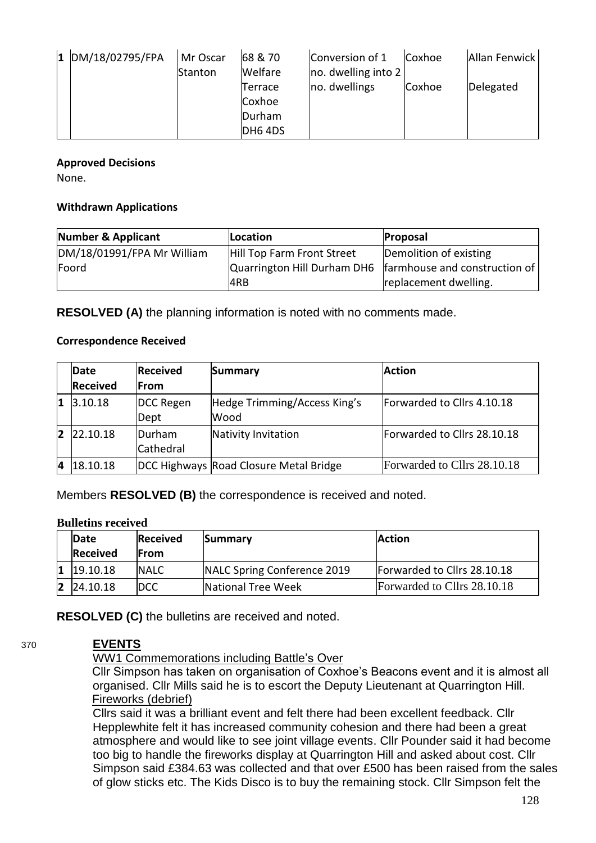| $1$ DM/18/02795/FPA | Mr Oscar       | 68 & 70 | Conversion of 1        | Coxhoe | Allan Fenwick |
|---------------------|----------------|---------|------------------------|--------|---------------|
|                     | <b>Stanton</b> | Welfare | $ no.$ dwelling into 2 |        |               |
|                     |                | Terrace | no. dwellings          | Coxhoe | Delegated     |
|                     |                | Coxhoe  |                        |        |               |
|                     |                | Durham  |                        |        |               |
|                     |                | DH6 4DS |                        |        |               |

#### **Approved Decisions**

None.

#### **Withdrawn Applications**

| Number & Applicant         | Location                   | Proposal                                                    |
|----------------------------|----------------------------|-------------------------------------------------------------|
| DM/18/01991/FPA Mr William | Hill Top Farm Front Street | Demolition of existing                                      |
| Foord                      |                            | Quarrington Hill Durham DH6   farmhouse and construction of |
|                            | 4RB                        | replacement dwelling.                                       |

**RESOLVED (A)** the planning information is noted with no comments made.

#### **Correspondence Received**

|   | <b>Date</b>     | <b>Received</b> | Summary                                | <b>Action</b>               |
|---|-----------------|-----------------|----------------------------------------|-----------------------------|
|   | <b>Received</b> | lFrom           |                                        |                             |
|   | 3.10.18         | DCC Regen       | Hedge Trimming/Access King's           | Forwarded to Cllrs 4.10.18  |
|   |                 | Dept            | Wood                                   |                             |
| 2 | 22.10.18        | <b>Durham</b>   | Nativity Invitation                    | Forwarded to Cllrs 28.10.18 |
|   |                 | Cathedral       |                                        |                             |
| 4 | 18.10.18        |                 | DCC Highways Road Closure Metal Bridge | Forwarded to Cllrs 28.10.18 |

Members **RESOLVED (B)** the correspondence is received and noted.

#### **Bulletins received**

|    | <b>Date</b><br><b>Received</b> | Received<br><b>IFrom</b> | Summary                     | <b>Action</b>               |
|----|--------------------------------|--------------------------|-----------------------------|-----------------------------|
| 11 | 19.10.18                       | <b>INALC</b>             | NALC Spring Conference 2019 | Forwarded to Cllrs 28.10.18 |
|    | $ 2 $ 24.10.18                 | <b>DCC</b>               | National Tree Week          | Forwarded to Cllrs 28.10.18 |

**RESOLVED (C)** the bulletins are received and noted.

# 370 **EVENTS**

WW1 Commemorations including Battle's Over

Cllr Simpson has taken on organisation of Coxhoe's Beacons event and it is almost all organised. Cllr Mills said he is to escort the Deputy Lieutenant at Quarrington Hill. Fireworks (debrief)

Cllrs said it was a brilliant event and felt there had been excellent feedback. Cllr Hepplewhite felt it has increased community cohesion and there had been a great atmosphere and would like to see joint village events. Cllr Pounder said it had become too big to handle the fireworks display at Quarrington Hill and asked about cost. Cllr Simpson said £384.63 was collected and that over £500 has been raised from the sales of glow sticks etc. The Kids Disco is to buy the remaining stock. Cllr Simpson felt the